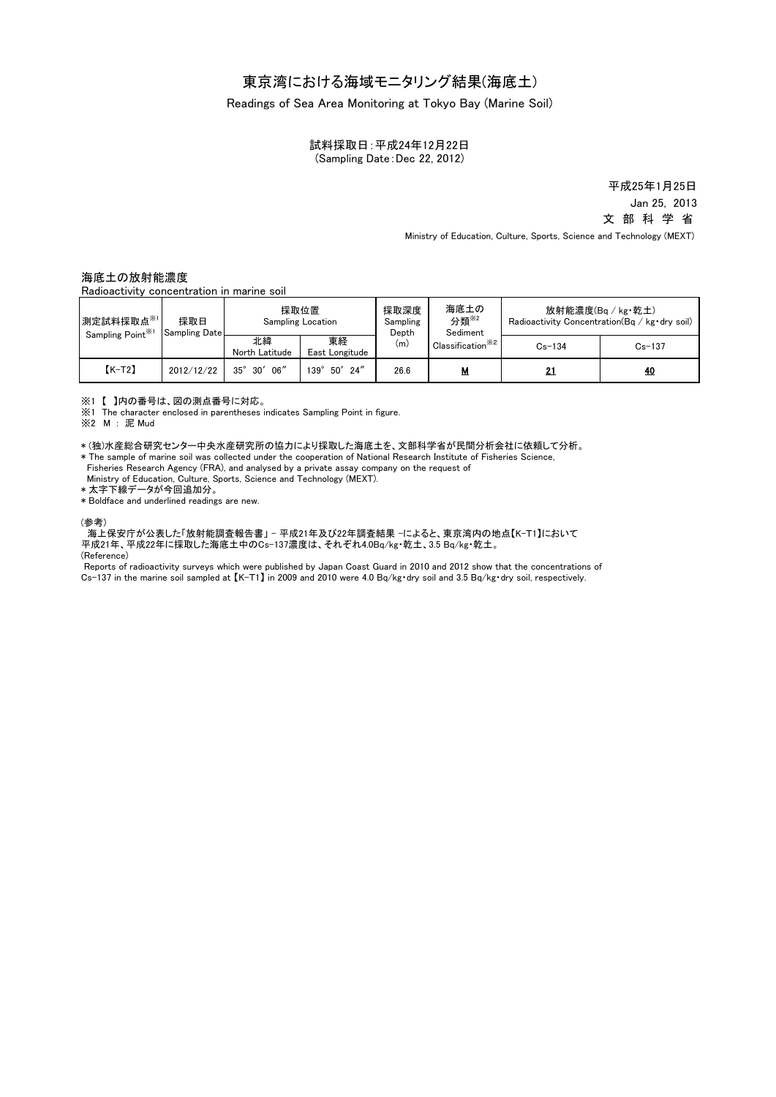# 東京湾における海域モニタリング結果(海底土)

Readings of Sea Area Monitoring at Tokyo Bay (Marine Soil)

試料採取日:平成24年12月22日 (Sampling Date:Dec 22, 2012)

> Jan 25, 2013 文 部 科 学 省 平成25年1月25日

Ministry of Education, Culture, Sports, Science and Technology (MEXT)

### 海底土の放射能濃度

Radioactivity concentration in marine soil

| 測定試料採取点※1<br>Sampling Point <sup>361</sup> | 採取日<br>Sampling Date | 採取位置<br>Sampling Location |                            | 採取深度<br>Sampling<br>Depth | 海底土の<br>分類 <sup>※2</sup><br>Sediment | 放射能濃度(Bg / kg·乾土)<br>Radioactivity Concentration (Bq / kg · dry soil) |            |
|--------------------------------------------|----------------------|---------------------------|----------------------------|---------------------------|--------------------------------------|-----------------------------------------------------------------------|------------|
|                                            |                      | 北緯<br>North Latitude      | 東経<br>East Longitude       | (m)                       | Classification <sup>**2</sup>        | $Cs - 134$                                                            | $Cs - 137$ |
| $K-T2$                                     | 2012/12/22           | $30'$ 06"<br>$35^\circ$   | 24''<br>50'<br>$139^\circ$ | 26.6                      | M                                    |                                                                       | <u>40</u>  |

※1 【 】内の番号は、図の測点番号に対応。

※1 The character enclosed in parentheses indicates Sampling Point in figure.

※2 M : 泥 Mud

\* (独)水産総合研究センター中央水産研究所の協力により採取した海底土を、文部科学省が民間分析会社に依頼して分析。 \* The sample of marine soil was collected under the cooperation of National Research Institute of Fisheries Science,

Fisheries Research Agency (FRA), and analysed by a private assay company on the request of

Ministry of Education, Culture, Sports, Science and Technology (MEXT).

\* 太字下線データが今回追加分。

\* Boldface and underlined readings are new.

#### (参考)

海上保安庁が公表した「放射能調査報告書」 - 平成21年及び22年調査結果 -によると、東京湾内の地点【K-T1】において 平成21年、平成22年に採取した海底土中のCs-137濃度は、それぞれ4.0Bq/kg・乾土、3.5 Bq/kg・乾土。

(Reference)

Reports of radioactivity surveys which were published by Japan Coast Guard in 2010 and 2012 show that the concentrations of Cs-137 in the marine soil sampled at 【K-T1】 in 2009 and 2010 were 4.0 Bq/kg・dry soil and 3.5 Bq/kg・dry soil, respectively.